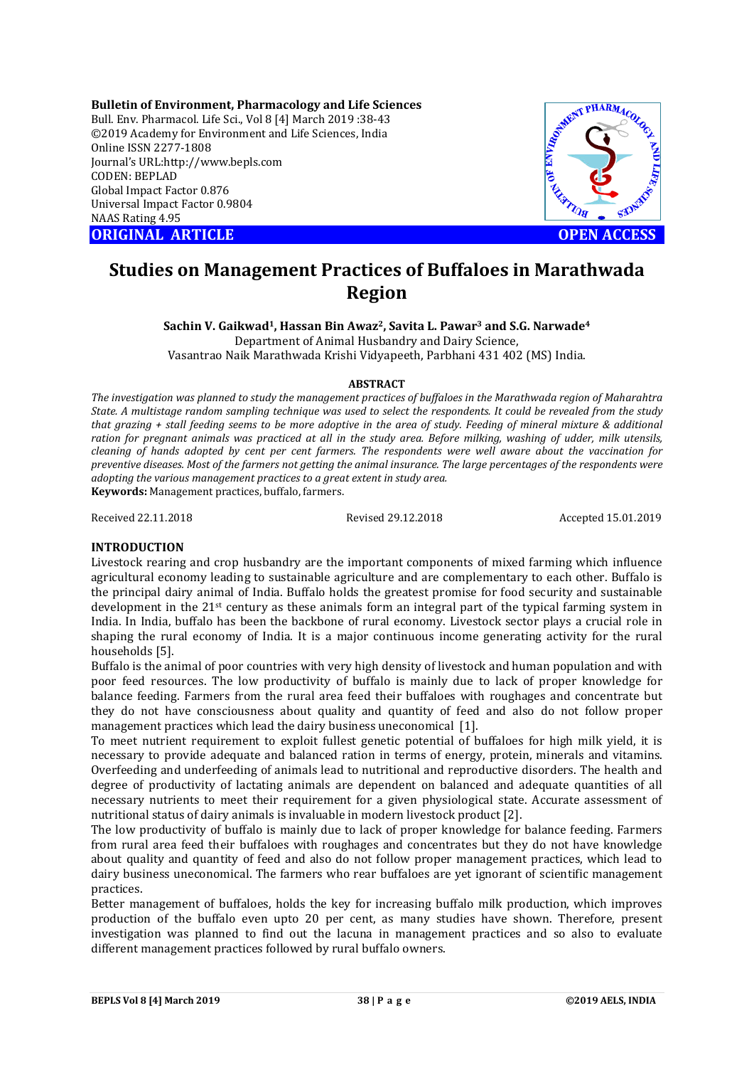**Bulletin of Environment, Pharmacology and Life Sciences** Bull. Env. Pharmacol. Life Sci., Vol 8 [4] March 2019 :38-43 ©2019 Academy for Environment and Life Sciences, India Online ISSN 2277-1808 Journal's URL:http://www.bepls.com CODEN: BEPLAD Global Impact Factor 0.876 Universal Impact Factor 0.9804 NAAS Rating 4.95

**ORIGINAL ARTICLE OPEN ACCESS** 



# **Studies on Management Practices of Buffaloes in Marathwada Region**

**Sachin V. Gaikwad1, Hassan Bin Awaz2, Savita L. Pawar3 and S.G. Narwade4** Department of Animal Husbandry and Dairy Science,

Vasantrao Naik Marathwada Krishi Vidyapeeth, Parbhani 431 402 (MS) India.

#### **ABSTRACT**

*The investigation was planned to study the management practices of buffaloes in the Marathwada region of Maharahtra State. A multistage random sampling technique was used to select the respondents. It could be revealed from the study that grazing + stall feeding seems to be more adoptive in the area of study. Feeding of mineral mixture & additional ration for pregnant animals was practiced at all in the study area. Before milking, washing of udder, milk utensils, cleaning of hands adopted by cent per cent farmers. The respondents were well aware about the vaccination for preventive diseases. Most of the farmers not getting the animal insurance. The large percentages of the respondents were adopting the various management practices to a great extent in study area.*  **Keywords:** Management practices, buffalo, farmers.

Received 22.11.2018 Revised 29.12.2018 Accepted 15.01.2019

#### **INTRODUCTION**

Livestock rearing and crop husbandry are the important components of mixed farming which influence agricultural economy leading to sustainable agriculture and are complementary to each other. Buffalo is the principal dairy animal of India. Buffalo holds the greatest promise for food security and sustainable development in the 21st century as these animals form an integral part of the typical farming system in India. In India, buffalo has been the backbone of rural economy. Livestock sector plays a crucial role in shaping the rural economy of India. It is a major continuous income generating activity for the rural households [5].

Buffalo is the animal of poor countries with very high density of livestock and human population and with poor feed resources. The low productivity of buffalo is mainly due to lack of proper knowledge for balance feeding. Farmers from the rural area feed their buffaloes with roughages and concentrate but they do not have consciousness about quality and quantity of feed and also do not follow proper management practices which lead the dairy business uneconomical [1].

To meet nutrient requirement to exploit fullest genetic potential of buffaloes for high milk yield, it is necessary to provide adequate and balanced ration in terms of energy, protein, minerals and vitamins. Overfeeding and underfeeding of animals lead to nutritional and reproductive disorders. The health and degree of productivity of lactating animals are dependent on balanced and adequate quantities of all necessary nutrients to meet their requirement for a given physiological state. Accurate assessment of nutritional status of dairy animals is invaluable in modern livestock product [2].

The low productivity of buffalo is mainly due to lack of proper knowledge for balance feeding. Farmers from rural area feed their buffaloes with roughages and concentrates but they do not have knowledge about quality and quantity of feed and also do not follow proper management practices, which lead to dairy business uneconomical. The farmers who rear buffaloes are yet ignorant of scientific management practices.

Better management of buffaloes, holds the key for increasing buffalo milk production, which improves production of the buffalo even upto 20 per cent, as many studies have shown. Therefore, present investigation was planned to find out the lacuna in management practices and so also to evaluate different management practices followed by rural buffalo owners.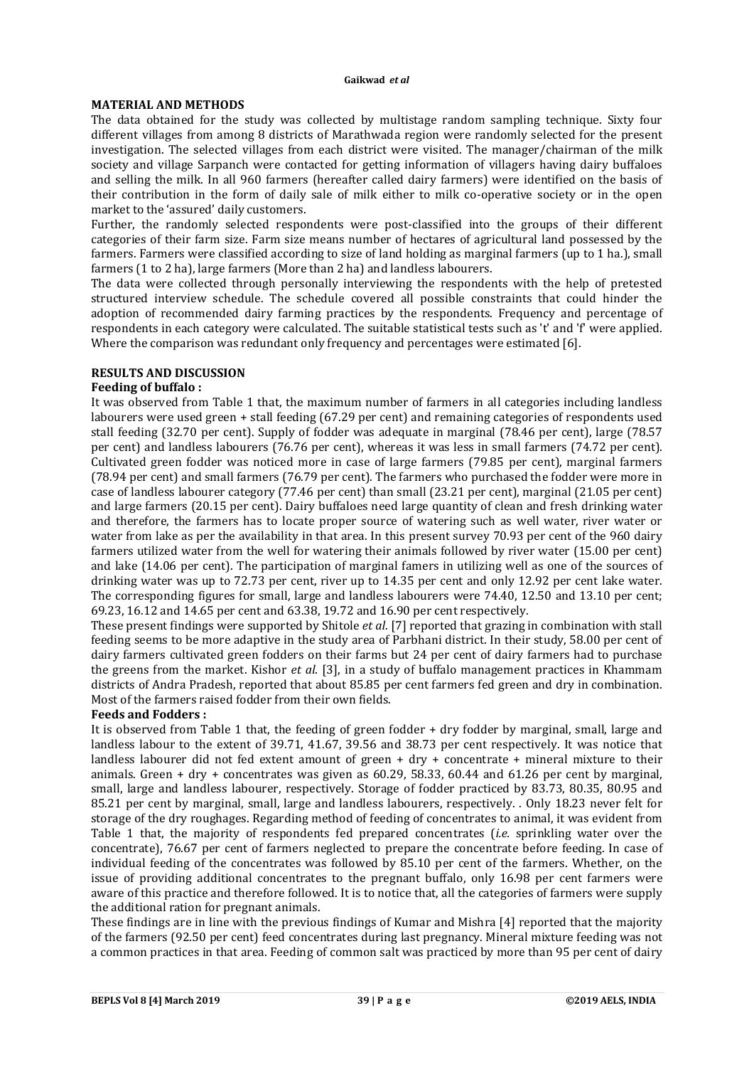# **MATERIAL AND METHODS**

The data obtained for the study was collected by multistage random sampling technique. Sixty four different villages from among 8 districts of Marathwada region were randomly selected for the present investigation. The selected villages from each district were visited. The manager/chairman of the milk society and village Sarpanch were contacted for getting information of villagers having dairy buffaloes and selling the milk. In all 960 farmers (hereafter called dairy farmers) were identified on the basis of their contribution in the form of daily sale of milk either to milk co-operative society or in the open market to the 'assured' daily customers.

Further, the randomly selected respondents were post-classified into the groups of their different categories of their farm size. Farm size means number of hectares of agricultural land possessed by the farmers. Farmers were classified according to size of land holding as marginal farmers (up to 1 ha.), small farmers (1 to 2 ha), large farmers (More than 2 ha) and landless labourers.

The data were collected through personally interviewing the respondents with the help of pretested structured interview schedule. The schedule covered all possible constraints that could hinder the adoption of recommended dairy farming practices by the respondents. Frequency and percentage of respondents in each category were calculated. The suitable statistical tests such as 't' and 'f' were applied. Where the comparison was redundant only frequency and percentages were estimated [6].

## **RESULTS AND DISCUSSION**

#### **Feeding of buffalo :**

It was observed from Table 1 that, the maximum number of farmers in all categories including landless labourers were used green + stall feeding (67.29 per cent) and remaining categories of respondents used stall feeding (32.70 per cent). Supply of fodder was adequate in marginal (78.46 per cent), large (78.57 per cent) and landless labourers (76.76 per cent), whereas it was less in small farmers (74.72 per cent). Cultivated green fodder was noticed more in case of large farmers (79.85 per cent), marginal farmers (78.94 per cent) and small farmers (76.79 per cent). The farmers who purchased the fodder were more in case of landless labourer category (77.46 per cent) than small (23.21 per cent), marginal (21.05 per cent) and large farmers (20.15 per cent). Dairy buffaloes need large quantity of clean and fresh drinking water and therefore, the farmers has to locate proper source of watering such as well water, river water or water from lake as per the availability in that area. In this present survey 70.93 per cent of the 960 dairy farmers utilized water from the well for watering their animals followed by river water (15.00 per cent) and lake (14.06 per cent). The participation of marginal famers in utilizing well as one of the sources of drinking water was up to 72.73 per cent, river up to 14.35 per cent and only 12.92 per cent lake water. The corresponding figures for small, large and landless labourers were 74.40, 12.50 and 13.10 per cent; 69.23, 16.12 and 14.65 per cent and 63.38, 19.72 and 16.90 per cent respectively.

These present findings were supported by Shitole *et al*. [7] reported that grazing in combination with stall feeding seems to be more adaptive in the study area of Parbhani district. In their study, 58.00 per cent of dairy farmers cultivated green fodders on their farms but 24 per cent of dairy farmers had to purchase the greens from the market. Kishor *et al*. [3], in a study of buffalo management practices in Khammam districts of Andra Pradesh, reported that about 85.85 per cent farmers fed green and dry in combination. Most of the farmers raised fodder from their own fields.

# **Feeds and Fodders :**

It is observed from Table 1 that, the feeding of green fodder + dry fodder by marginal, small, large and landless labour to the extent of 39.71, 41.67, 39.56 and 38.73 per cent respectively. It was notice that landless labourer did not fed extent amount of green + dry + concentrate + mineral mixture to their animals. Green + dry + concentrates was given as 60.29, 58.33, 60.44 and 61.26 per cent by marginal, small, large and landless labourer, respectively. Storage of fodder practiced by 83.73, 80.35, 80.95 and 85.21 per cent by marginal, small, large and landless labourers, respectively. . Only 18.23 never felt for storage of the dry roughages. Regarding method of feeding of concentrates to animal, it was evident from Table 1 that, the majority of respondents fed prepared concentrates (*i.e.* sprinkling water over the concentrate), 76.67 per cent of farmers neglected to prepare the concentrate before feeding. In case of individual feeding of the concentrates was followed by 85.10 per cent of the farmers. Whether, on the issue of providing additional concentrates to the pregnant buffalo, only 16.98 per cent farmers were aware of this practice and therefore followed. It is to notice that, all the categories of farmers were supply the additional ration for pregnant animals.

These findings are in line with the previous findings of Kumar and Mishra [4] reported that the majority of the farmers (92.50 per cent) feed concentrates during last pregnancy. Mineral mixture feeding was not a common practices in that area. Feeding of common salt was practiced by more than 95 per cent of dairy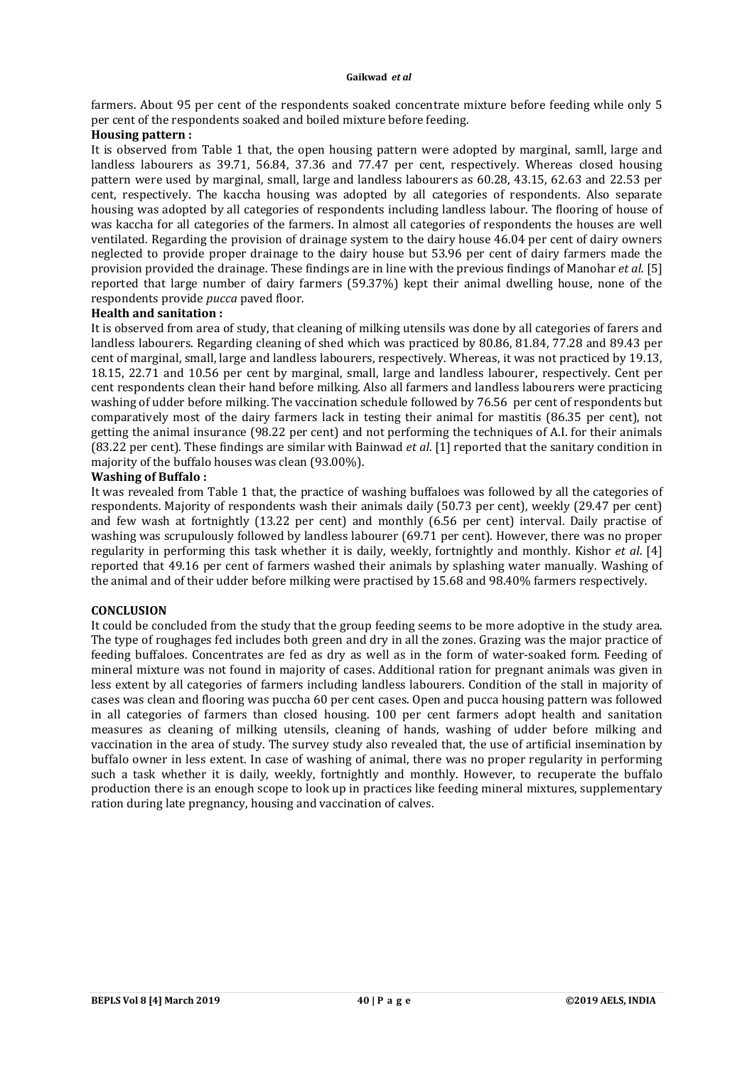farmers. About 95 per cent of the respondents soaked concentrate mixture before feeding while only 5 per cent of the respondents soaked and boiled mixture before feeding.

#### **Housing pattern :**

It is observed from Table 1 that, the open housing pattern were adopted by marginal, samll, large and landless labourers as 39.71, 56.84, 37.36 and 77.47 per cent, respectively. Whereas closed housing pattern were used by marginal, small, large and landless labourers as 60.28, 43.15, 62.63 and 22.53 per cent, respectively. The kaccha housing was adopted by all categories of respondents. Also separate housing was adopted by all categories of respondents including landless labour. The flooring of house of was kaccha for all categories of the farmers. In almost all categories of respondents the houses are well ventilated. Regarding the provision of drainage system to the dairy house 46.04 per cent of dairy owners neglected to provide proper drainage to the dairy house but 53.96 per cent of dairy farmers made the provision provided the drainage. These findings are in line with the previous findings of Manohar *et al*. [5] reported that large number of dairy farmers (59.37%) kept their animal dwelling house, none of the respondents provide *pucca* paved floor.

#### **Health and sanitation :**

It is observed from area of study, that cleaning of milking utensils was done by all categories of farers and landless labourers. Regarding cleaning of shed which was practiced by 80.86, 81.84, 77.28 and 89.43 per cent of marginal, small, large and landless labourers, respectively. Whereas, it was not practiced by 19.13, 18.15, 22.71 and 10.56 per cent by marginal, small, large and landless labourer, respectively. Cent per cent respondents clean their hand before milking. Also all farmers and landless labourers were practicing washing of udder before milking. The vaccination schedule followed by 76.56 per cent of respondents but comparatively most of the dairy farmers lack in testing their animal for mastitis (86.35 per cent), not getting the animal insurance (98.22 per cent) and not performing the techniques of A.I. for their animals (83.22 per cent). These findings are similar with Bainwad *et al*. [1] reported that the sanitary condition in majority of the buffalo houses was clean (93.00%).

#### **Washing of Buffalo :**

It was revealed from Table 1 that, the practice of washing buffaloes was followed by all the categories of respondents. Majority of respondents wash their animals daily (50.73 per cent), weekly (29.47 per cent) and few wash at fortnightly (13.22 per cent) and monthly (6.56 per cent) interval. Daily practise of washing was scrupulously followed by landless labourer (69.71 per cent). However, there was no proper regularity in performing this task whether it is daily, weekly, fortnightly and monthly. Kishor *et al*. [4] reported that 49.16 per cent of farmers washed their animals by splashing water manually. Washing of the animal and of their udder before milking were practised by 15.68 and 98.40% farmers respectively.

# **CONCLUSION**

It could be concluded from the study that the group feeding seems to be more adoptive in the study area. The type of roughages fed includes both green and dry in all the zones. Grazing was the major practice of feeding buffaloes. Concentrates are fed as dry as well as in the form of water-soaked form. Feeding of mineral mixture was not found in majority of cases. Additional ration for pregnant animals was given in less extent by all categories of farmers including landless labourers. Condition of the stall in majority of cases was clean and flooring was puccha 60 per cent cases. Open and pucca housing pattern was followed in all categories of farmers than closed housing. 100 per cent farmers adopt health and sanitation measures as cleaning of milking utensils, cleaning of hands, washing of udder before milking and vaccination in the area of study. The survey study also revealed that, the use of artificial insemination by buffalo owner in less extent. In case of washing of animal, there was no proper regularity in performing such a task whether it is daily, weekly, fortnightly and monthly. However, to recuperate the buffalo production there is an enough scope to look up in practices like feeding mineral mixtures, supplementary ration during late pregnancy, housing and vaccination of calves.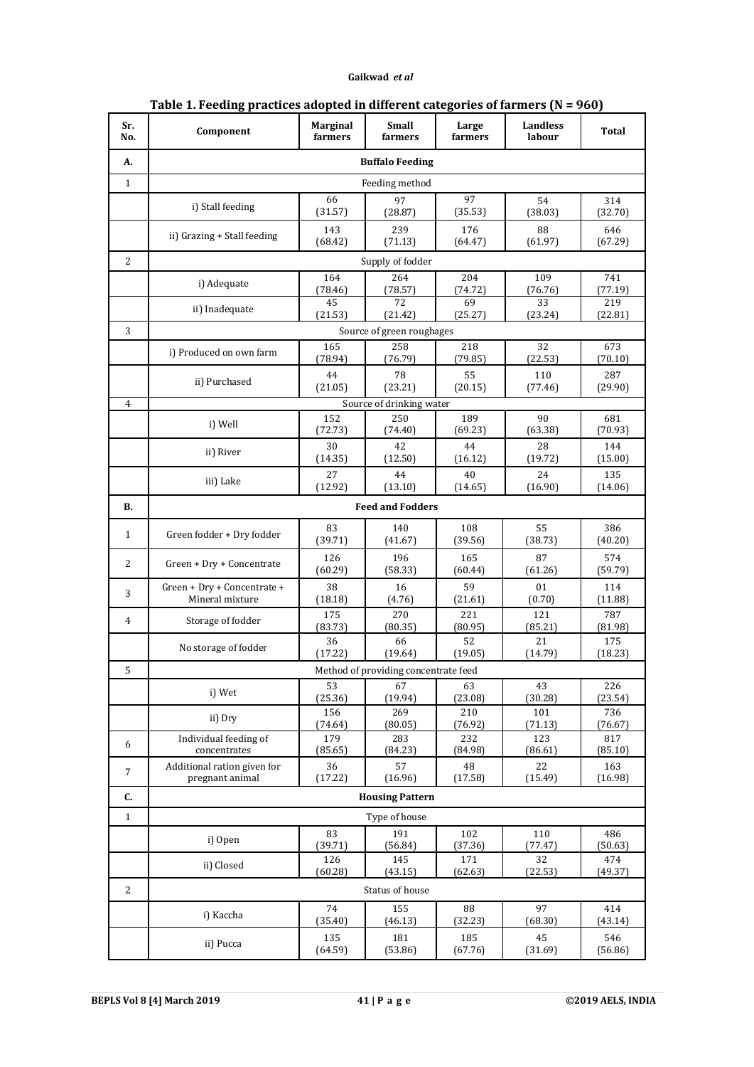| Sr.<br>No.     | Component                                      | <b>Marginal</b><br>farmers | Small<br>farmers | Large<br>farmers | Landless<br>labour | Total          |  |  |  |  |  |
|----------------|------------------------------------------------|----------------------------|------------------|------------------|--------------------|----------------|--|--|--|--|--|
| A.             | <b>Buffalo Feeding</b>                         |                            |                  |                  |                    |                |  |  |  |  |  |
| $\mathbf{1}$   | Feeding method                                 |                            |                  |                  |                    |                |  |  |  |  |  |
|                | i) Stall feeding                               | 66<br>(31.57)              | 97<br>(28.87)    | 97<br>(35.53)    | 54<br>(38.03)      | 314<br>(32.70) |  |  |  |  |  |
|                | ii) Grazing + Stall feeding                    | 143<br>(68.42)             | 239<br>(71.13)   | 176<br>(64.47)   | 88<br>(61.97)      | 646<br>(67.29) |  |  |  |  |  |
| 2              | Supply of fodder                               |                            |                  |                  |                    |                |  |  |  |  |  |
|                | i) Adequate                                    | 164<br>(78.46)             | 264<br>(78.57)   | 204<br>(74.72)   | 109<br>(76.76)     | 741<br>(77.19) |  |  |  |  |  |
|                | ii) Inadequate                                 | 45<br>(21.53)              | 72<br>(21.42)    | 69<br>(25.27)    | 33<br>(23.24)      | 219<br>(22.81) |  |  |  |  |  |
| 3              | Source of green roughages                      |                            |                  |                  |                    |                |  |  |  |  |  |
|                | i) Produced on own farm                        | 165<br>(78.94)             | 258<br>(76.79)   | 218<br>(79.85)   | 32<br>(22.53)      | 673<br>(70.10) |  |  |  |  |  |
|                | ii) Purchased                                  | 44<br>(21.05)              | 78<br>(23.21)    | 55<br>(20.15)    | 110<br>(77.46)     | 287<br>(29.90) |  |  |  |  |  |
| 4              | Source of drinking water                       |                            |                  |                  |                    |                |  |  |  |  |  |
|                | i) Well                                        | 152<br>(72.73)             | 250<br>(74.40)   | 189<br>(69.23)   | 90<br>(63.38)      | 681<br>(70.93) |  |  |  |  |  |
|                | ii) River                                      | 30<br>(14.35)              | 42<br>(12.50)    | 44<br>(16.12)    | 28<br>(19.72)      | 144<br>(15.00) |  |  |  |  |  |
|                | iii) Lake                                      | 27<br>(12.92)              | 44<br>(13.10)    | 40<br>(14.65)    | 24<br>(16.90)      | 135<br>(14.06) |  |  |  |  |  |
| <b>B.</b>      | <b>Feed and Fodders</b>                        |                            |                  |                  |                    |                |  |  |  |  |  |
| 1              | Green fodder + Dry fodder                      | 83<br>(39.71)              | 140<br>(41.67)   | 108<br>(39.56)   | 55<br>(38.73)      | 386<br>(40.20) |  |  |  |  |  |
| 2              | Green + Dry + Concentrate                      | 126<br>(60.29)             | 196<br>(58.33)   | 165<br>(60.44)   | 87<br>(61.26)      | 574<br>(59.79) |  |  |  |  |  |
| 3              | Green + Dry + Concentrate +<br>Mineral mixture | 38<br>(18.18)              | 16<br>(4.76)     | 59<br>(21.61)    | 01<br>(0.70)       | 114<br>(11.88) |  |  |  |  |  |
| 4              | Storage of fodder                              | 175<br>(83.73)             | 270<br>(80.35)   | 221<br>(80.95)   | 121<br>(85.21)     | 787<br>(81.98) |  |  |  |  |  |
|                | No storage of fodder                           | 36<br>(17.22)              | 66<br>(19.64)    | 52<br>(19.05)    | 21<br>(14.79)      | 175<br>(18.23) |  |  |  |  |  |
| 5              | Method of providing concentrate feed           |                            |                  |                  |                    |                |  |  |  |  |  |
|                | i) Wet                                         | 53<br>(25.36)              | 67<br>(19.94)    | 63<br>(23.08)    | 43<br>(30.28)      | 226<br>(23.54) |  |  |  |  |  |
|                | ii) Dry                                        | 156<br>(74.64)             | 269<br>(80.05)   | 210<br>(76.92)   | 101<br>(71.13)     | 736<br>(76.67) |  |  |  |  |  |
| 6              | Individual feeding of<br>concentrates          | 179<br>(85.65)             | 283<br>(84.23)   | 232<br>(84.98)   | 123<br>(86.61)     | 817<br>(85.10) |  |  |  |  |  |
| $\overline{7}$ | Additional ration given for<br>pregnant animal | 36<br>(17.22)              | 57<br>(16.96)    | 48<br>(17.58)    | 22<br>(15.49)      | 163<br>(16.98) |  |  |  |  |  |
| C.             | <b>Housing Pattern</b>                         |                            |                  |                  |                    |                |  |  |  |  |  |
| $\,1\,$        | Type of house                                  |                            |                  |                  |                    |                |  |  |  |  |  |
|                | i) Open                                        | 83<br>(39.71)              | 191<br>(56.84)   | 102<br>(37.36)   | 110<br>(77.47)     | 486<br>(50.63) |  |  |  |  |  |
|                | ii) Closed                                     | 126<br>(60.28)             | 145<br>(43.15)   | 171<br>(62.63)   | 32<br>(22.53)      | 474<br>(49.37) |  |  |  |  |  |
| 2              | Status of house                                |                            |                  |                  |                    |                |  |  |  |  |  |
|                | i) Kaccha                                      | 74<br>(35.40)              | 155<br>(46.13)   | 88<br>(32.23)    | 97<br>(68.30)      | 414<br>(43.14) |  |  |  |  |  |
|                | ii) Pucca                                      | 135<br>(64.59)             | 181<br>(53.86)   | 185<br>(67.76)   | 45<br>(31.69)      | 546<br>(56.86) |  |  |  |  |  |

# **Table 1. Feeding practices adopted in different categories of farmers (N = 960)**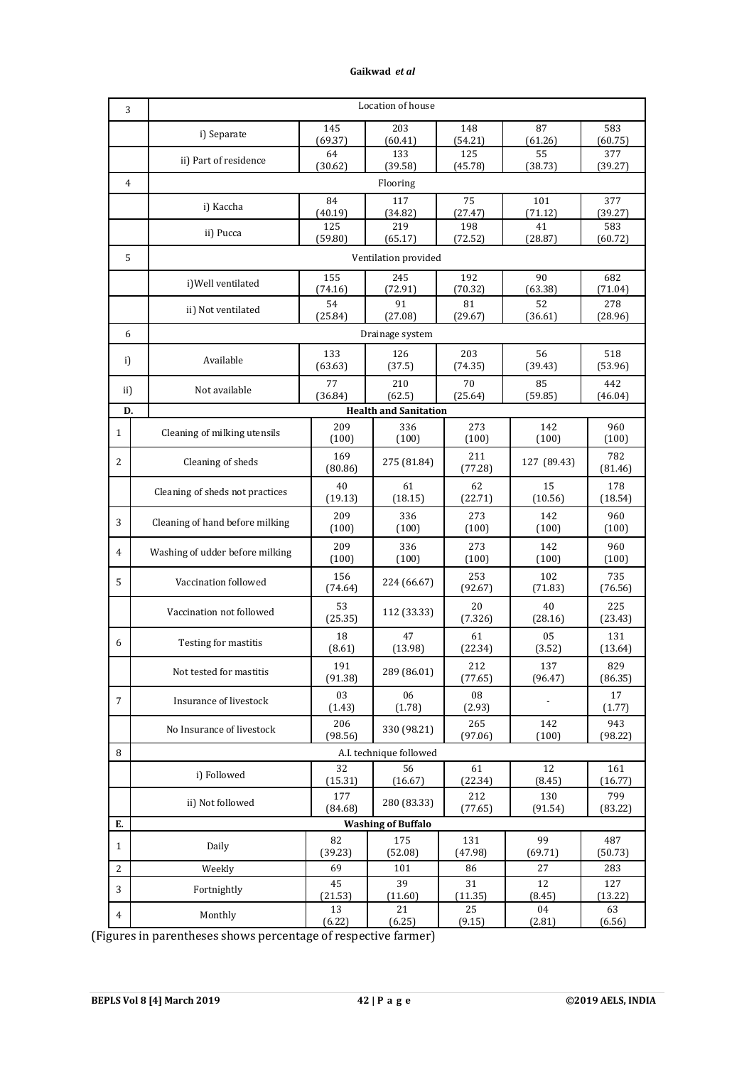| 3              |                                 | Location of house |                              |                |                |                |  |  |  |  |
|----------------|---------------------------------|-------------------|------------------------------|----------------|----------------|----------------|--|--|--|--|
|                | i) Separate                     | 145               | 203                          | 148            | 87             | 583            |  |  |  |  |
|                |                                 | (69.37)<br>64     | (60.41)<br>133               | (54.21)<br>125 | (61.26)<br>55  | (60.75)<br>377 |  |  |  |  |
|                | ii) Part of residence           | (30.62)           | (39.58)                      | (45.78)        | (38.73)        | (39.27)        |  |  |  |  |
| $\overline{4}$ |                                 | Flooring          |                              |                |                |                |  |  |  |  |
|                | i) Kaccha                       | 84<br>(40.19)     | 117<br>(34.82)               | 75<br>(27.47)  | 101<br>(71.12) | 377<br>(39.27) |  |  |  |  |
|                | ii) Pucca                       | 125               | 219                          | 198            | 41             | 583            |  |  |  |  |
|                |                                 | (59.80)           | (65.17)                      | (72.52)        | (28.87)        | (60.72)        |  |  |  |  |
| 5              | Ventilation provided            |                   |                              |                |                |                |  |  |  |  |
|                | i) Well ventilated              | 155<br>(74.16)    | 245<br>(72.91)               | 192<br>(70.32) | 90<br>(63.38)  | 682<br>(71.04) |  |  |  |  |
|                | ii) Not ventilated              | 54                | 91                           | 81             | 52             | 278            |  |  |  |  |
|                |                                 | (25.84)           | (27.08)                      | (29.67)        | (36.61)        | (28.96)        |  |  |  |  |
|                | 6<br>Drainage system            |                   |                              |                |                |                |  |  |  |  |
| i)             | Available                       | 133<br>(63.63)    | 126<br>(37.5)                | 203<br>(74.35) | 56<br>(39.43)  | 518<br>(53.96) |  |  |  |  |
|                |                                 | 77                | 210                          | 70             | 85             | 442            |  |  |  |  |
| ii)            | Not available                   | (36.84)           | (62.5)                       | (25.64)        | (59.85)        | (46.04)        |  |  |  |  |
| D.             |                                 |                   | <b>Health and Sanitation</b> |                |                |                |  |  |  |  |
| $\mathbf{1}$   | Cleaning of milking utensils    | 209<br>(100)      | 336<br>(100)                 | 273<br>(100)   | 142<br>(100)   | 960<br>(100)   |  |  |  |  |
| 2              | Cleaning of sheds               | 169<br>(80.86)    | 275 (81.84)                  | 211<br>(77.28) | 127 (89.43)    | 782<br>(81.46) |  |  |  |  |
|                | Cleaning of sheds not practices | 40<br>(19.13)     | 61<br>(18.15)                | 62<br>(22.71)  | 15<br>(10.56)  | 178<br>(18.54) |  |  |  |  |
| 3              | Cleaning of hand before milking | 209<br>(100)      | 336<br>(100)                 | 273<br>(100)   | 142<br>(100)   | 960<br>(100)   |  |  |  |  |
| 4              | Washing of udder before milking | 209<br>(100)      | 336<br>(100)                 | 273<br>(100)   | 142<br>(100)   | 960<br>(100)   |  |  |  |  |
| 5              | Vaccination followed            | 156<br>(74.64)    | 224 (66.67)                  | 253<br>(92.67) | 102<br>(71.83) | 735<br>(76.56) |  |  |  |  |
|                | Vaccination not followed        | 53<br>(25.35)     | 112 (33.33)                  | 20<br>(7.326)  | 40<br>(28.16)  | 225<br>(23.43) |  |  |  |  |
| 6              | Testing for mastitis            | 18<br>(8.61)      | 47<br>(13.98)                | 61<br>(22.34)  | 05<br>(3.52)   | 131<br>(13.64) |  |  |  |  |
|                | Not tested for mastitis         | 191<br>(91.38)    | 289 (86.01)                  | 212<br>(77.65) | 137<br>(96.47) | 829<br>(86.35) |  |  |  |  |
| $\overline{7}$ | Insurance of livestock          | 03<br>(1.43)      | 06<br>(1.78)                 | 08<br>(2.93)   |                | 17<br>(1.77)   |  |  |  |  |
|                | No Insurance of livestock       | 206<br>(98.56)    | 330 (98.21)                  | 265<br>(97.06) | 142<br>(100)   | 943<br>(98.22) |  |  |  |  |
| 8              |                                 |                   | A.I. technique followed      |                |                |                |  |  |  |  |
|                | i) Followed                     | 32<br>(15.31)     | 56<br>(16.67)                | 61<br>(22.34)  | 12<br>(8.45)   | 161<br>(16.77) |  |  |  |  |
|                | ii) Not followed                | 177<br>(84.68)    | 280 (83.33)                  | 212<br>(77.65) | 130<br>(91.54) | 799<br>(83.22) |  |  |  |  |
| Ε.             |                                 |                   | <b>Washing of Buffalo</b>    |                |                |                |  |  |  |  |
| $\mathbf{1}$   | Daily                           | 82<br>(39.23)     | 175<br>(52.08)               | 131<br>(47.98) | 99<br>(69.71)  | 487<br>(50.73) |  |  |  |  |
| 2              | Weekly                          | 69                | 101                          | 86             | 27             | 283            |  |  |  |  |
| 3              | Fortnightly                     | 45<br>(21.53)     | 39<br>(11.60)                | 31<br>(11.35)  | 12<br>(8.45)   | 127<br>(13.22) |  |  |  |  |
| 4              | Monthly                         | 13<br>(6.22)      | 21<br>(6.25)                 | 25<br>(9.15)   | 04<br>(2.81)   | 63<br>(6.56)   |  |  |  |  |

(Figures in parentheses shows percentage of respective farmer)